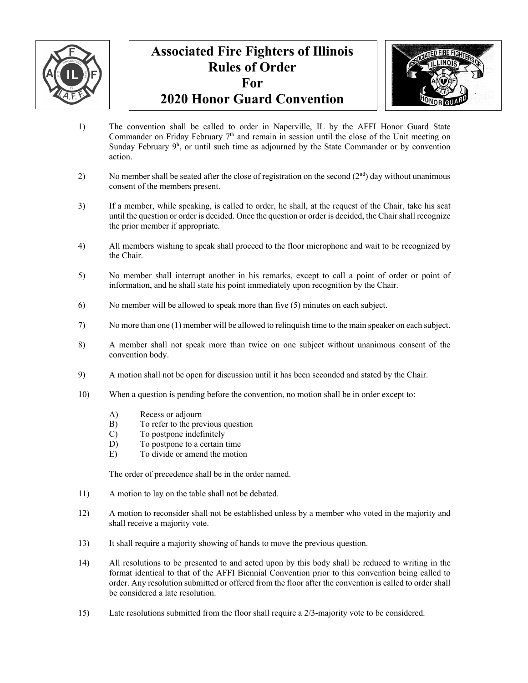

## **Associated Fire Fighters of Illinois Rules of Order For 2020 Honor Guard Convention**



- 1) The convention shall be called to order in Naperville, IL by the AFFI Honor Guard State Commander on Friday February 7<sup>th</sup> and remain in session until the close of the Unit meeting on Sunday February 9<sup>h</sup>, or until such time as adjourned by the State Commander or by convention action.
- 2) No member shall be seated after the close of registration on the second  $(2<sup>nd</sup>)$  day without unanimous consent of the members present.
- 3) If a member, while speaking, is called to order, he shall, at the request of the Chair, take his seat until the question or order is decided. Once the question or order is decided, the Chair shall recognize the prior member if appropriate.
- 4) All members wishing to speak shall proceed to the floor microphone and wait to be recognized by the Chair.
- 5) No member shall interrupt another in his remarks, except to call a point of order or point of information, and he shall state his point immediately upon recognition by the Chair.
- 6) No member will be allowed to speak more than five (5) minutes on each subject.
- 7) No more than one (1) member will be allowed to relinquish time to the main speaker on each subject.
- 8) A member shall not speak more than twice on one subject without unanimous consent of the convention body.
- 9) A motion shall not be open for discussion until it has been seconded and stated by the Chair.
- 10) When a question is pending before the convention, no motion shall be in order except to:
	- A) Recess or adjourn
	- B) To refer to the previous question
	- C) To postpone indefinitely
	- D) To postpone to a certain time
	- E) To divide or amend the motion

The order of precedence shall be in the order named.

- 11) A motion to lay on the table shall not be debated.
- 12) A motion to reconsider shall not be established unless by a member who voted in the majority and shall receive a majority vote.
- 13) It shall require a majority showing of hands to move the previous question.
- 14) All resolutions to be presented to and acted upon by this body shall be reduced to writing in the format identical to that of the AFFI Biennial Convention prior to this convention being called to order. Any resolution submitted or offered from the floor after the convention is called to order shall be considered a late resolution.
- 15) Late resolutions submitted from the floor shall require a 2/3-majority vote to be considered.